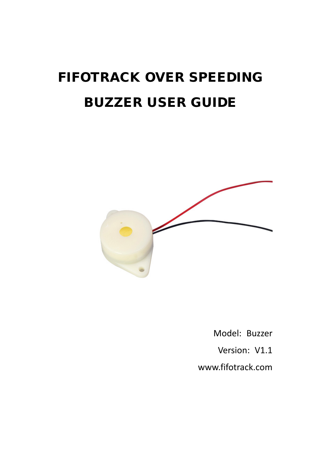# FIFOTRACK OVER SPEEDING BUZZER USER GUIDE



Model: Buzzer Version: V1.1 [www.fifotrack.com](http://www.fifotrack.com/)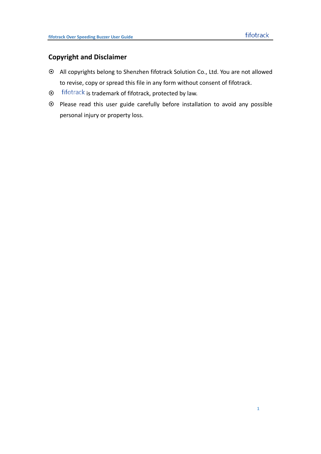#### **Copyright and Disclaimer**

- All copyrights belong to Shenzhen fifotrack Solution Co., Ltd. You are not allowed to revise, copy or spread this file in any form without consent of fifotrack.
- $\odot$  fifotrack is trademark of fifotrack, protected by law.
- Please read this user guide carefully before installation to avoid any possible personal injury or property loss.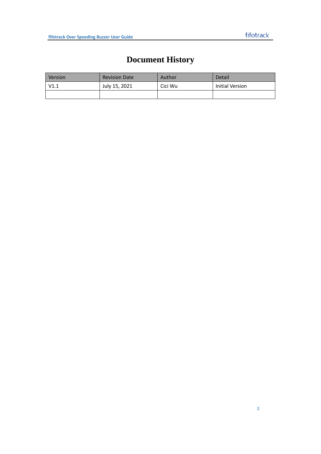## **Document History**

<span id="page-2-0"></span>

| Version | <b>Revision Date</b> | Author  | Detail          |
|---------|----------------------|---------|-----------------|
| V1.1    | July 15, 2021        | Cici Wu | Initial Version |
|         |                      |         |                 |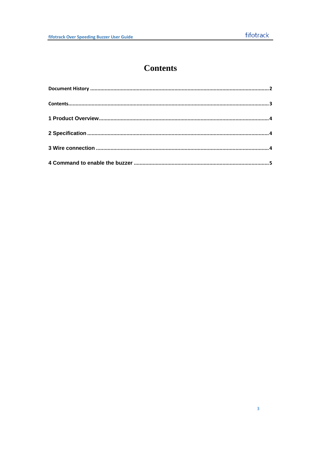### **Contents**

<span id="page-3-0"></span>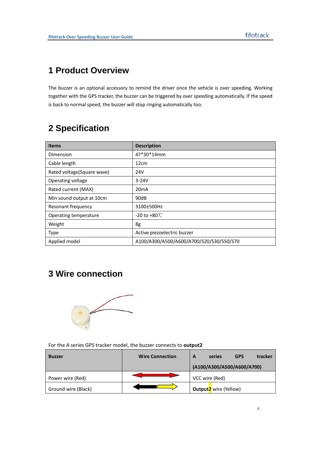### <span id="page-4-0"></span>**1 Product Overview**

The buzzer is an optional accessory to remind the driver once the vehicle is over speeding. Working together with the GPS tracker, the buzzer can be triggered by over speeding automatically. If the speed is back to normal speed, the buzzer will stop ringing automatically too.

#### <span id="page-4-1"></span>**2 Specification**

| <b>Items</b>               | <b>Description</b>                       |
|----------------------------|------------------------------------------|
| Dimension                  | 47*30*14mm                               |
| Cable length               | 12cm                                     |
| Rated voltage(Square wave) | 24V                                      |
| Operating voltage          | $3 - 24V$                                |
| Rated current (MAX)        | 20 <sub>m</sub> A                        |
| Min sound output at 10cm   | 90dB                                     |
| Resonant frequency         | 3100±500Hz                               |
| Operating temperature      | -20 to +80 $\degree$ C                   |
| Weight                     | 8g                                       |
| <b>Type</b>                | Active piezoelectric buzzer              |
| Applied model              | A100/A300/A500/A600/A700/S20/S30/S50/S70 |

#### <span id="page-4-2"></span>**3 Wire connection**



For the A series GPS tracker model, the buzzer connects to **output2**

| <b>Buzzer</b>       | <b>Wire Connection</b> | <b>GPS</b><br>tracker<br>A<br>series    |
|---------------------|------------------------|-----------------------------------------|
|                     |                        | (A100/A300/A500/A600/A700)              |
| Power wire (Red)    |                        | VCC wire (Red)                          |
| Ground wire (Black) |                        | <b>Output<sup>2</sup></b> wire (Yellow) |